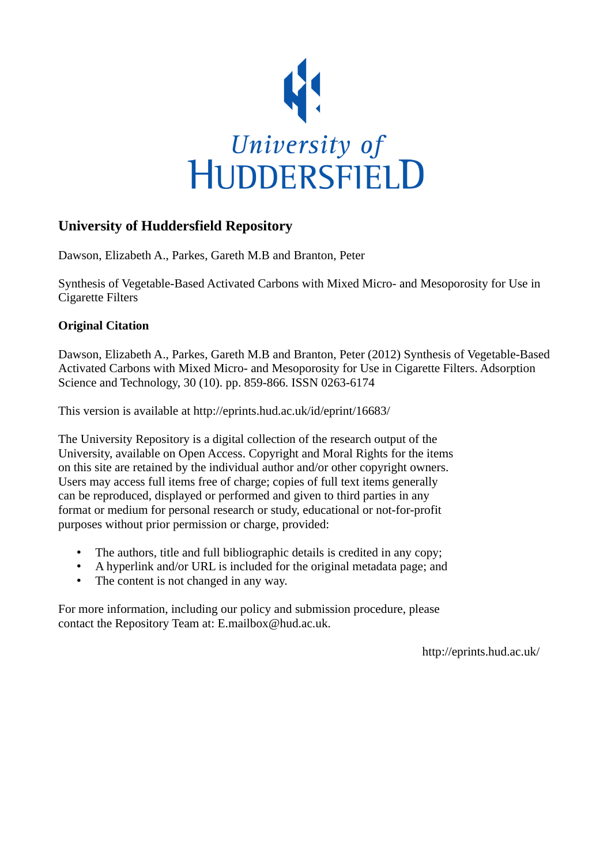

# **University of Huddersfield Repository**

Dawson, Elizabeth A., Parkes, Gareth M.B and Branton, Peter

Synthesis of Vegetable-Based Activated Carbons with Mixed Micro- and Mesoporosity for Use in Cigarette Filters

## **Original Citation**

Dawson, Elizabeth A., Parkes, Gareth M.B and Branton, Peter (2012) Synthesis of Vegetable-Based Activated Carbons with Mixed Micro- and Mesoporosity for Use in Cigarette Filters. Adsorption Science and Technology, 30 (10). pp. 859-866. ISSN 0263-6174

This version is available at http://eprints.hud.ac.uk/id/eprint/16683/

The University Repository is a digital collection of the research output of the University, available on Open Access. Copyright and Moral Rights for the items on this site are retained by the individual author and/or other copyright owners. Users may access full items free of charge; copies of full text items generally can be reproduced, displayed or performed and given to third parties in any format or medium for personal research or study, educational or not-for-profit purposes without prior permission or charge, provided:

- The authors, title and full bibliographic details is credited in any copy;
- A hyperlink and/or URL is included for the original metadata page; and
- The content is not changed in any way.

For more information, including our policy and submission procedure, please contact the Repository Team at: E.mailbox@hud.ac.uk.

http://eprints.hud.ac.uk/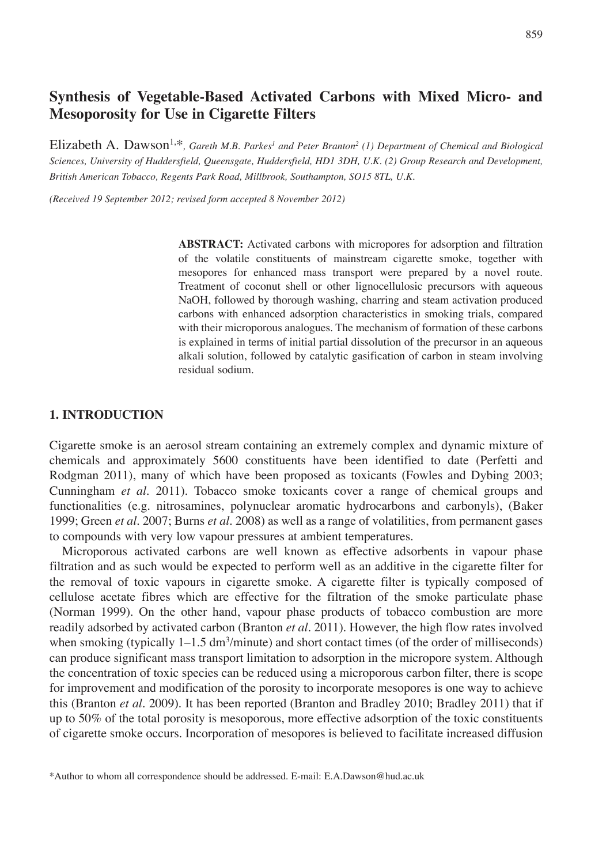## **Synthesis of Vegetable-Based Activated Carbons with Mixed Micro- and Mesoporosity for Use in Cigarette Filters**

Elizabeth A. Dawson1,\**, Gareth M.B. Parkes1 and Peter Branton2 (1) Department of Chemical and Biological Sciences, University of Huddersfield, Queensgate, Huddersfield, HD1 3DH, U.K. (2) Group Research and Development, British American Tobacco, Regents Park Road, Millbrook, Southampton, SO15 8TL, U.K.*

*(Received 19 September 2012; revised form accepted 8 November 2012)*

**ABSTRACT:** Activated carbons with micropores for adsorption and filtration of the volatile constituents of mainstream cigarette smoke, together with mesopores for enhanced mass transport were prepared by a novel route. Treatment of coconut shell or other lignocellulosic precursors with aqueous NaOH, followed by thorough washing, charring and steam activation produced carbons with enhanced adsorption characteristics in smoking trials, compared with their microporous analogues. The mechanism of formation of these carbons is explained in terms of initial partial dissolution of the precursor in an aqueous alkali solution, followed by catalytic gasification of carbon in steam involving residual sodium.

## **1. INTRODUCTION**

Cigarette smoke is an aerosol stream containing an extremely complex and dynamic mixture of chemicals and approximately 5600 constituents have been identified to date (Perfetti and Rodgman 2011), many of which have been proposed as toxicants (Fowles and Dybing 2003; Cunningham *et al.* 2011). Tobacco smoke toxicants cover a range of chemical groups and functionalities (e.g. nitrosamines, polynuclear aromatic hydrocarbons and carbonyls), (Baker 1999; Green *et al.* 2007; Burns *et al.* 2008) as well as a range of volatilities, from permanent gases to compounds with very low vapour pressures at ambient temperatures.

Microporous activated carbons are well known as effective adsorbents in vapour phase filtration and as such would be expected to perform well as an additive in the cigarette filter for the removal of toxic vapours in cigarette smoke. A cigarette filter is typically composed of cellulose acetate fibres which are effective for the filtration of the smoke particulate phase (Norman 1999). On the other hand, vapour phase products of tobacco combustion are more readily adsorbed by activated carbon (Branton *et al.* 2011). However, the high flow rates involved when smoking (typically  $1-1.5 \text{ dm}^3/\text{minute}$ ) and short contact times (of the order of milliseconds) can produce significant mass transport limitation to adsorption in the micropore system. Although the concentration of toxic species can be reduced using a microporous carbon filter, there is scope for improvement and modification of the porosity to incorporate mesopores is one way to achieve this (Branton *et al.* 2009). It has been reported (Branton and Bradley 2010; Bradley 2011) that if up to 50% of the total porosity is mesoporous, more effective adsorption of the toxic constituents of cigarette smoke occurs. Incorporation of mesopores is believed to facilitate increased diffusion

<sup>\*</sup>Author to whom all correspondence should be addressed. E-mail: E.A.Dawson@hud.ac.uk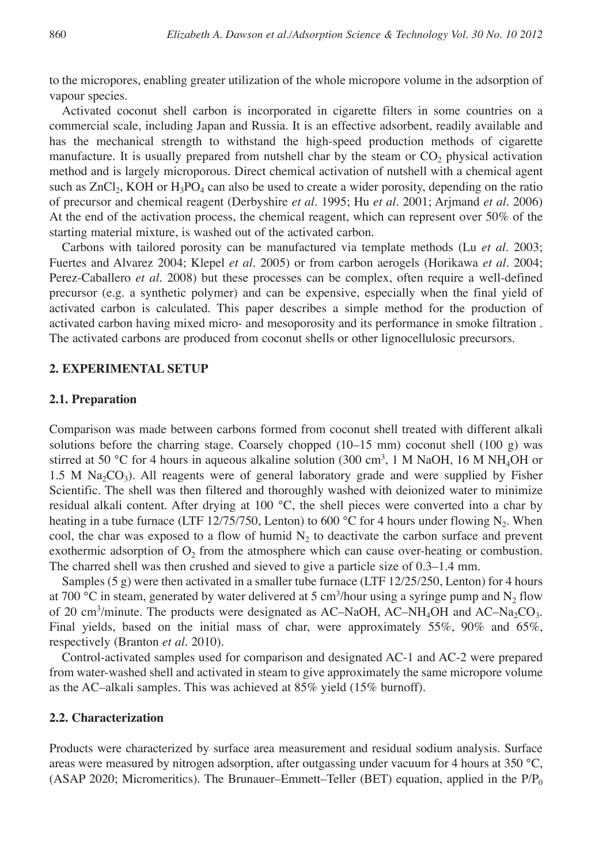to the micropores, enabling greater utilization of the whole micropore volume in the adsorption of vapour species.

Activated coconut shell carbon is incorporated in cigarette filters in some countries on a commercial scale, including Japan and Russia. It is an effective adsorbent, readily available and has the mechanical strength to withstand the high-speed production methods of cigarette manufacture. It is usually prepared from nutshell char by the steam or  $CO<sub>2</sub>$  physical activation method and is largely microporous. Direct chemical activation of nutshell with a chemical agent such as  $ZnCl<sub>2</sub>$ , KOH or  $H<sub>3</sub>PO<sub>4</sub>$  can also be used to create a wider porosity, depending on the ratio of precursor and chemical reagent (Derbyshire *et al.* 1995; Hu *et al.* 2001; Arjmand *et al.* 2006) At the end of the activation process, the chemical reagent, which can represent over 50% of the starting material mixture, is washed out of the activated carbon.

Carbons with tailored porosity can be manufactured via template methods (Lu *et al.* 2003; Fuertes and Alvarez 2004; Klepel *et al.* 2005) or from carbon aerogels (Horikawa *et al.* 2004; Perez-Caballero *et al.* 2008) but these processes can be complex, often require a well-defined precursor (e.g. a synthetic polymer) and can be expensive, especially when the final yield of activated carbon is calculated. This paper describes a simple method for the production of activated carbon having mixed micro- and mesoporosity and its performance in smoke filtration . The activated carbons are produced from coconut shells or other lignocellulosic precursors.

#### **2. EXPERIMENTAL SETUP**

#### **2.1. Preparation**

Comparison was made between carbons formed from coconut shell treated with different alkali solutions before the charring stage. Coarsely chopped (10–15 mm) coconut shell (100 g) was stirred at 50 °C for 4 hours in aqueous alkaline solution (300 cm<sup>3</sup>, 1 M NaOH, 16 M NH<sub>4</sub>OH or 1.5 M Na<sub>2</sub>CO<sub>3</sub>). All reagents were of general laboratory grade and were supplied by Fisher Scientific. The shell was then filtered and thoroughly washed with deionized water to minimize residual alkali content. After drying at 100 °C, the shell pieces were converted into a char by heating in a tube furnace (LTF 12/75/750, Lenton) to 600 °C for 4 hours under flowing N<sub>2</sub>. When cool, the char was exposed to a flow of humid  $N<sub>2</sub>$  to deactivate the carbon surface and prevent exothermic adsorption of  $O<sub>2</sub>$  from the atmosphere which can cause over-heating or combustion. The charred shell was then crushed and sieved to give a particle size of 0.3–1.4 mm.

Samples (5 g) were then activated in a smaller tube furnace (LTF 12/25/250, Lenton) for 4 hours at 700 °C in steam, generated by water delivered at 5 cm<sup>3</sup>/hour using a syringe pump and  $N_2$  flow of 20 cm<sup>3</sup>/minute. The products were designated as AC–NaOH, AC–NH<sub>4</sub>OH and AC–Na<sub>2</sub>CO<sub>3</sub>. Final yields, based on the initial mass of char, were approximately 55%, 90% and 65%, respectively (Branton *et al.* 2010).

Control-activated samples used for comparison and designated AC-1 and AC-2 were prepared from water-washed shell and activated in steam to give approximately the same micropore volume as the AC–alkali samples. This was achieved at 85% yield (15% burnoff).

## **2.2. Characterization**

Products were characterized by surface area measurement and residual sodium analysis. Surface areas were measured by nitrogen adsorption, after outgassing under vacuum for 4 hours at 350 °C, (ASAP 2020; Micromeritics). The Brunauer–Emmett–Teller (BET) equation, applied in the  $P/P<sub>0</sub>$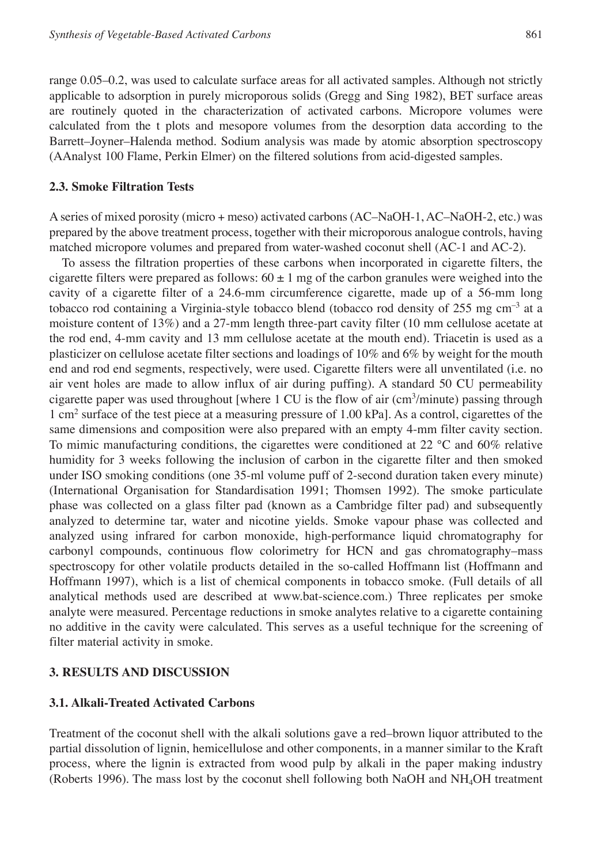range 0.05–0.2, was used to calculate surface areas for all activated samples. Although not strictly applicable to adsorption in purely microporous solids (Gregg and Sing 1982), BET surface areas are routinely quoted in the characterization of activated carbons. Micropore volumes were calculated from the t plots and mesopore volumes from the desorption data according to the Barrett–Joyner–Halenda method. Sodium analysis was made by atomic absorption spectroscopy (AAnalyst 100 Flame, Perkin Elmer) on the filtered solutions from acid-digested samples.

#### **2.3. Smoke Filtration Tests**

A series of mixed porosity (micro + meso) activated carbons (AC–NaOH-1, AC–NaOH-2, etc.) was prepared by the above treatment process, together with their microporous analogue controls, having matched micropore volumes and prepared from water-washed coconut shell (AC-1 and AC-2).

To assess the filtration properties of these carbons when incorporated in cigarette filters, the cigarette filters were prepared as follows:  $60 \pm 1$  mg of the carbon granules were weighed into the cavity of a cigarette filter of a 24.6-mm circumference cigarette, made up of a 56-mm long tobacco rod containing a Virginia-style tobacco blend (tobacco rod density of 255 mg  $\text{cm}^{-3}$  at a moisture content of 13%) and a 27-mm length three-part cavity filter (10 mm cellulose acetate at the rod end, 4-mm cavity and 13 mm cellulose acetate at the mouth end). Triacetin is used as a plasticizer on cellulose acetate filter sections and loadings of 10% and 6% by weight for the mouth end and rod end segments, respectively, were used. Cigarette filters were all unventilated (i.e. no air vent holes are made to allow influx of air during puffing). A standard 50 CU permeability cigarette paper was used throughout [where 1 CU is the flow of air (cm<sup>3</sup>/minute) passing through 1 cm2 surface of the test piece at a measuring pressure of 1.00 kPa]. As a control, cigarettes of the same dimensions and composition were also prepared with an empty 4-mm filter cavity section. To mimic manufacturing conditions, the cigarettes were conditioned at 22  $^{\circ}$ C and 60% relative humidity for 3 weeks following the inclusion of carbon in the cigarette filter and then smoked under ISO smoking conditions (one 35-ml volume puff of 2-second duration taken every minute) (International Organisation for Standardisation 1991; Thomsen 1992). The smoke particulate phase was collected on a glass filter pad (known as a Cambridge filter pad) and subsequently analyzed to determine tar, water and nicotine yields. Smoke vapour phase was collected and analyzed using infrared for carbon monoxide, high-performance liquid chromatography for carbonyl compounds, continuous flow colorimetry for HCN and gas chromatography–mass spectroscopy for other volatile products detailed in the so-called Hoffmann list (Hoffmann and Hoffmann 1997), which is a list of chemical components in tobacco smoke. (Full details of all analytical methods used are described at www.bat-science.com.) Three replicates per smoke analyte were measured. Percentage reductions in smoke analytes relative to a cigarette containing no additive in the cavity were calculated. This serves as a useful technique for the screening of filter material activity in smoke.

## **3. RESULTS AND DISCUSSION**

#### **3.1. Alkali-Treated Activated Carbons**

Treatment of the coconut shell with the alkali solutions gave a red–brown liquor attributed to the partial dissolution of lignin, hemicellulose and other components, in a manner similar to the Kraft process, where the lignin is extracted from wood pulp by alkali in the paper making industry (Roberts 1996). The mass lost by the coconut shell following both NaOH and NH4OH treatment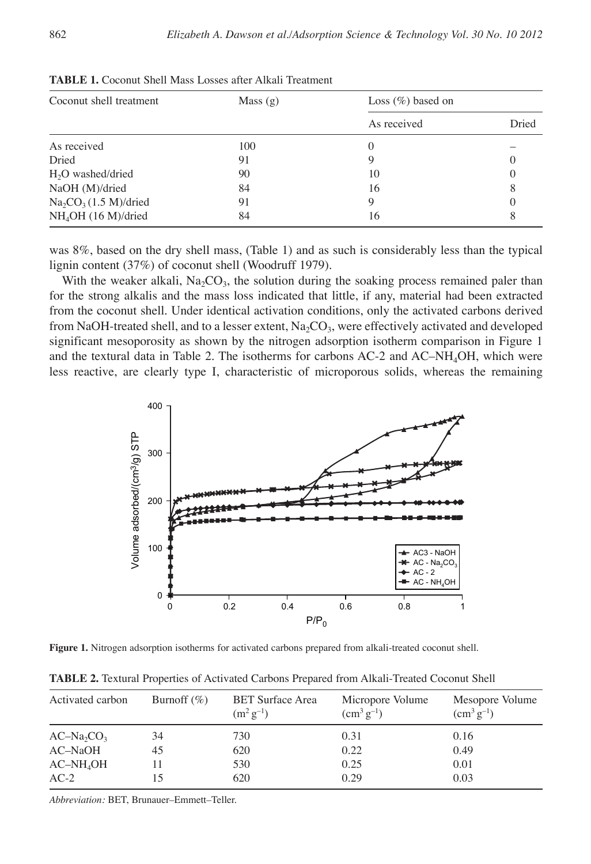| Coconut shell treatment       | Mass $(g)$ | Loss $(\% )$ based on |       |  |
|-------------------------------|------------|-----------------------|-------|--|
|                               |            | As received           | Dried |  |
| As received                   | 100        |                       |       |  |
| Dried                         | 91         |                       | 0     |  |
| H <sub>2</sub> O washed/dried | 90         | 10                    | 0     |  |
| NaOH (M)/dried                | 84         | 16                    | 8     |  |
| $Na_2CO_3(1.5 M)/dried$       | 91         | 9                     | 0     |  |
| $NH4OH$ (16 M)/dried          | 84         | 16                    | 8     |  |

**TABLE 1.** Coconut Shell Mass Losses after Alkali Treatment

was 8%, based on the dry shell mass, (Table 1) and as such is considerably less than the typical lignin content (37%) of coconut shell (Woodruff 1979).

With the weaker alkali,  $Na_2CO_3$ , the solution during the soaking process remained paler than for the strong alkalis and the mass loss indicated that little, if any, material had been extracted from the coconut shell. Under identical activation conditions, only the activated carbons derived from NaOH-treated shell, and to a lesser extent,  $Na<sub>2</sub>CO<sub>3</sub>$ , were effectively activated and developed significant mesoporosity as shown by the nitrogen adsorption isotherm comparison in Figure 1 and the textural data in Table 2. The isotherms for carbons  $AC-2$  and  $AC-NH<sub>4</sub>OH$ , which were less reactive, are clearly type I, characteristic of microporous solids, whereas the remaining



**Figure 1.** Nitrogen adsorption isotherms for activated carbons prepared from alkali-treated coconut shell.

| Activated carbon | Burnoff $(\% )$ | <b>BET Surface Area</b><br>$(m^2 g^{-1})$ | Micropore Volume<br>$\rm (cm^3 \, g^{-1})$ | Mesopore Volume<br>$\rm (cm^3 \, g^{-1})$ |
|------------------|-----------------|-------------------------------------------|--------------------------------------------|-------------------------------------------|
| $AC-Na_2CO_3$    | 34              | 730                                       | 0.31                                       | 0.16                                      |
| $AC-NaOH$        | 45              | 620                                       | 0.22                                       | 0.49                                      |
| $AC-NH4OH$       | 11              | 530                                       | 0.25                                       | 0.01                                      |
| $AC-2$           | 15              | 620                                       | 0.29                                       | 0.03                                      |

**TABLE 2.** Textural Properties of Activated Carbons Prepared from Alkali-Treated Coconut Shell

*Abbreviation:* BET, Brunauer–Emmett–Teller.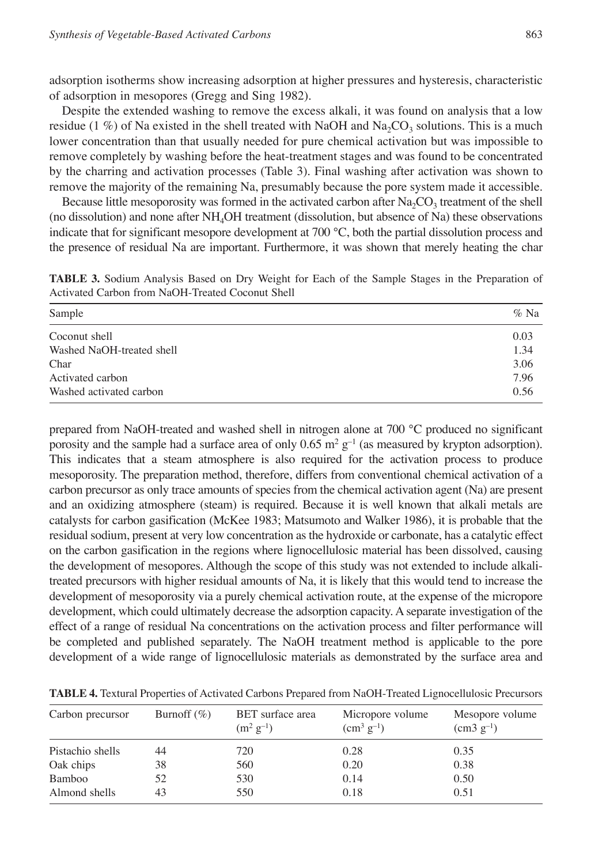adsorption isotherms show increasing adsorption at higher pressures and hysteresis, characteristic of adsorption in mesopores (Gregg and Sing 1982).

Despite the extended washing to remove the excess alkali, it was found on analysis that a low residue (1 %) of Na existed in the shell treated with NaOH and Na<sub>2</sub>CO<sub>3</sub> solutions. This is a much lower concentration than that usually needed for pure chemical activation but was impossible to remove completely by washing before the heat-treatment stages and was found to be concentrated by the charring and activation processes (Table 3). Final washing after activation was shown to remove the majority of the remaining Na, presumably because the pore system made it accessible.

Because little mesoporosity was formed in the activated carbon after  $Na_2CO_3$  treatment of the shell (no dissolution) and none after NH4OH treatment (dissolution, but absence of Na) these observations indicate that for significant mesopore development at 700 °C, both the partial dissolution process and the presence of residual Na are important. Furthermore, it was shown that merely heating the char

**TABLE 3.** Sodium Analysis Based on Dry Weight for Each of the Sample Stages in the Preparation of Activated Carbon from NaOH-Treated Coconut Shell

| Sample                    | $\%$ Na |
|---------------------------|---------|
| Coconut shell             | 0.03    |
| Washed NaOH-treated shell | 1.34    |
| Char                      | 3.06    |
| Activated carbon          | 7.96    |
| Washed activated carbon   | 0.56    |

prepared from NaOH-treated and washed shell in nitrogen alone at 700 °C produced no significant porosity and the sample had a surface area of only  $0.65 \text{ m}^2 \text{ g}^{-1}$  (as measured by krypton adsorption). This indicates that a steam atmosphere is also required for the activation process to produce mesoporosity. The preparation method, therefore, differs from conventional chemical activation of a carbon precursor as only trace amounts of species from the chemical activation agent (Na) are present and an oxidizing atmosphere (steam) is required. Because it is well known that alkali metals are catalysts for carbon gasification (McKee 1983; Matsumoto and Walker 1986), it is probable that the residual sodium, present at very low concentration as the hydroxide or carbonate, has a catalytic effect on the carbon gasification in the regions where lignocellulosic material has been dissolved, causing the development of mesopores. Although the scope of this study was not extended to include alkalitreated precursors with higher residual amounts of Na, it is likely that this would tend to increase the development of mesoporosity via a purely chemical activation route, at the expense of the micropore development, which could ultimately decrease the adsorption capacity. A separate investigation of the effect of a range of residual Na concentrations on the activation process and filter performance will be completed and published separately. The NaOH treatment method is applicable to the pore development of a wide range of lignocellulosic materials as demonstrated by the surface area and

| Carbon precursor | Burnoff $(\%)$ | BET surface area<br>$(m^2 \text{ g}^{-1})$ | Micropore volume<br>$\rm (cm^3 \; g^{-1})$ | Mesopore volume<br>$(cm3 g^{-1})$ |  |
|------------------|----------------|--------------------------------------------|--------------------------------------------|-----------------------------------|--|
| Pistachio shells | 44             | 720                                        | 0.28                                       | 0.35                              |  |
| Oak chips        | 38             | 560                                        | 0.20                                       | 0.38                              |  |
| Bamboo           | 52             | 530                                        | 0.14                                       | 0.50                              |  |
| Almond shells    | 43             | 550                                        | 0.18                                       | 0.51                              |  |

**TABLE 4.** Textural Properties of Activated Carbons Prepared from NaOH-Treated Lignocellulosic Precursors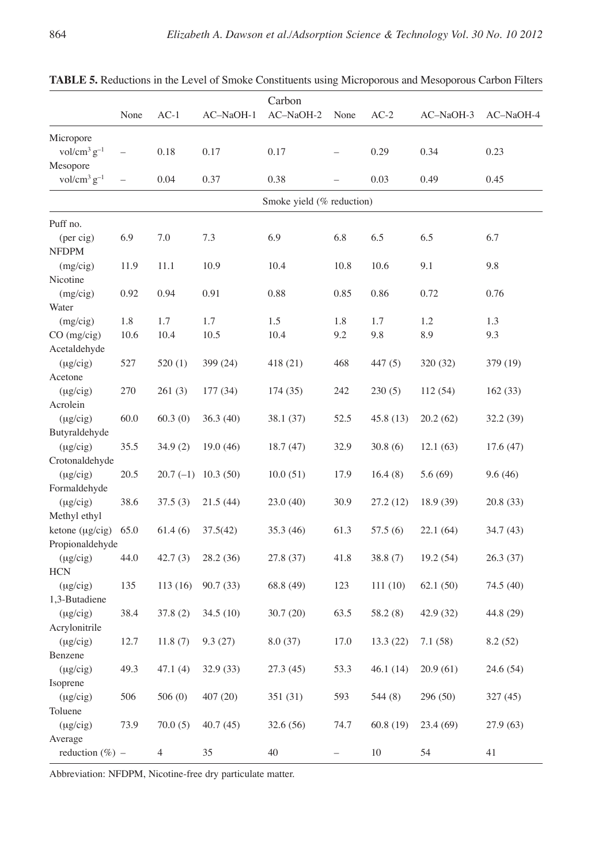|                               | None | $AC-1$         | AC-NaOH-1 | Carbon<br>AC-NaOH-2       | None | $AC-2$   | AC-NaOH-3 | AC-NaOH-4 |
|-------------------------------|------|----------------|-----------|---------------------------|------|----------|-----------|-----------|
| Micropore                     |      |                |           |                           |      |          |           |           |
| vol/cm <sup>3</sup> $g^{-1}$  | -    | 0.18           | 0.17      | 0.17                      |      | 0.29     | 0.34      | 0.23      |
| Mesopore                      |      |                |           |                           |      |          |           |           |
| vol/cm <sup>3</sup> $g^{-1}$  |      | 0.04           | 0.37      | 0.38                      |      | 0.03     | 0.49      | 0.45      |
|                               |      |                |           | Smoke yield (% reduction) |      |          |           |           |
| Puff no.                      |      |                |           |                           |      |          |           |           |
| $(per\, cig)$<br><b>NFDPM</b> | 6.9  | 7.0            | 7.3       | 6.9                       | 6.8  | 6.5      | 6.5       | 6.7       |
| (mg/cig)                      | 11.9 | 11.1           | 10.9      | 10.4                      | 10.8 | 10.6     | 9.1       | 9.8       |
| Nicotine                      |      |                |           |                           |      |          |           |           |
| (mg/cig)                      | 0.92 | 0.94           | 0.91      | 0.88                      | 0.85 | 0.86     | 0.72      | 0.76      |
| Water                         |      |                |           |                           |      |          |           |           |
| (mg/cig)                      | 1.8  | 1.7            | 1.7       | 1.5                       | 1.8  | 1.7      | 1.2       | 1.3       |
| CO (mg/cig)                   | 10.6 | 10.4           | 10.5      | 10.4                      | 9.2  | 9.8      | 8.9       | 9.3       |
| Acetaldehyde                  |      |                |           |                           |      |          |           |           |
| $(\mu g/cig)$                 | 527  | 520(1)         | 399 (24)  | 418 (21)                  | 468  | 447(5)   | 320 (32)  | 379 (19)  |
| Acetone                       |      |                |           |                           |      |          |           |           |
| $(\mu g/cig)$                 | 270  | 261(3)         | 177 (34)  | 174 (35)                  | 242  | 230(5)   | 112 (54)  | 162 (33)  |
| Acrolein                      |      |                |           |                           |      |          |           |           |
| $(\mu g/cig)$                 | 60.0 | 60.3(0)        | 36.3 (40) | 38.1 (37)                 | 52.5 | 45.8(13) | 20.2(62)  | 32.2 (39) |
| Butyraldehyde                 |      |                |           |                           |      |          |           |           |
| $(\mu g/cig)$                 | 35.5 | 34.9(2)        | 19.0(46)  | 18.7(47)                  | 32.9 | 30.8(6)  | 12.1(63)  | 17.6 (47) |
| Crotonaldehyde                |      |                |           |                           |      |          |           |           |
| $(\mu g/cig)$                 | 20.5 | $20.7(-1)$     | 10.3(50)  | 10.0(51)                  | 17.9 | 16.4(8)  | 5.6(69)   | 9.6(46)   |
| Formaldehyde                  |      |                |           |                           |      |          |           |           |
| $(\mu g/cig)$                 | 38.6 | 37.5(3)        | 21.5(44)  | 23.0(40)                  | 30.9 | 27.2(12) | 18.9 (39) | 20.8 (33) |
| Methyl ethyl                  |      |                |           |                           |      |          |           |           |
| ketone (µg/cig)               | 65.0 | 61.4(6)        | 37.5(42)  | 35.3 (46)                 | 61.3 | 57.5(6)  | 22.1(64)  | 34.7 (43) |
| Propionaldehyde               |      |                |           |                           |      |          |           |           |
| $(\mu g/cig)$<br><b>HCN</b>   | 44.0 | 42.7(3)        | 28.2 (36) | 27.8 (37)                 | 41.8 | 38.8(7)  | 19.2(54)  | 26.3 (37) |
| $(\mu g/cig)$                 | 135  | 113(16)        | 90.7 (33) | 68.8 (49)                 | 123  | 111(10)  | 62.1(50)  | 74.5 (40) |
| 1,3-Butadiene                 |      |                |           |                           |      |          |           |           |
| $(\mu g/cig)$                 | 38.4 | 37.8(2)        | 34.5(10)  | 30.7 (20)                 | 63.5 | 58.2 (8) | 42.9 (32) | 44.8 (29) |
| Acrylonitrile                 |      |                |           |                           |      |          |           |           |
| $(\mu g/cig)$                 | 12.7 | 11.8(7)        | 9.3(27)   | 8.0 (37)                  | 17.0 | 13.3(22) | 7.1 (58)  | 8.2(52)   |
| Benzene                       |      |                |           |                           |      |          |           |           |
| $(\mu g/cig)$                 | 49.3 | 47.1(4)        | 32.9 (33) | 27.3(45)                  | 53.3 | 46.1(14) | 20.9(61)  | 24.6 (54) |
| Isoprene                      |      |                |           |                           |      |          |           |           |
| $(\mu g/cig)$                 | 506  | 506(0)         | 407 (20)  | 351 (31)                  | 593  | 544(8)   | 296 (50)  | 327(45)   |
| Toluene                       |      |                |           |                           |      |          |           |           |
| $(\mu g/cig)$                 | 73.9 | 70.0(5)        | 40.7(45)  | 32.6(56)                  | 74.7 | 60.8(19) | 23.4(69)  | 27.9(63)  |
| Average                       |      |                |           |                           |      |          |           |           |
| reduction $(\% )$ –           |      | $\overline{4}$ | 35        | 40                        | -    | $10\,$   | 54        | 41        |

**TABLE 5.** Reductions in the Level of Smoke Constituents using Microporous and Mesoporous Carbon Filters

Abbreviation: NFDPM, Nicotine-free dry particulate matter.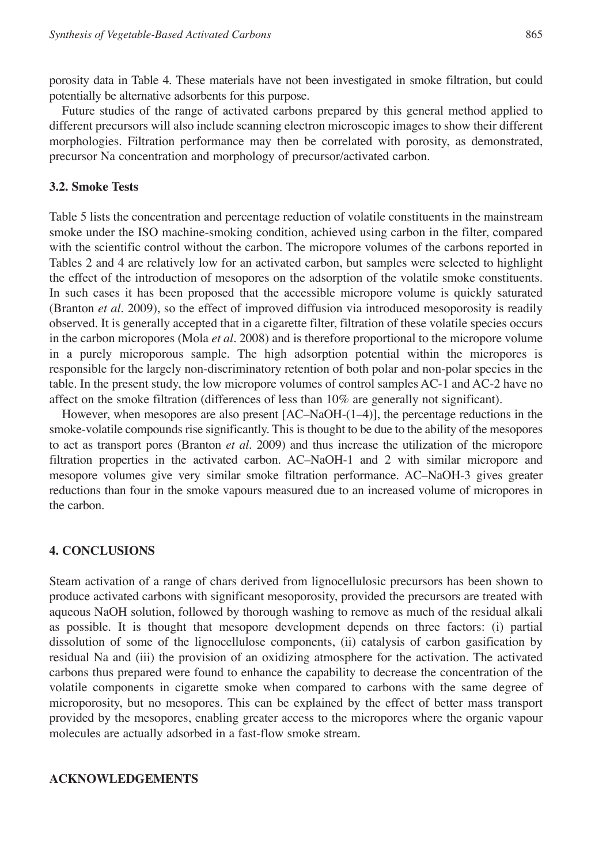porosity data in Table 4. These materials have not been investigated in smoke filtration, but could potentially be alternative adsorbents for this purpose.

Future studies of the range of activated carbons prepared by this general method applied to different precursors will also include scanning electron microscopic images to show their different morphologies. Filtration performance may then be correlated with porosity, as demonstrated, precursor Na concentration and morphology of precursor/activated carbon.

### **3.2. Smoke Tests**

Table 5 lists the concentration and percentage reduction of volatile constituents in the mainstream smoke under the ISO machine-smoking condition, achieved using carbon in the filter, compared with the scientific control without the carbon. The micropore volumes of the carbons reported in Tables 2 and 4 are relatively low for an activated carbon, but samples were selected to highlight the effect of the introduction of mesopores on the adsorption of the volatile smoke constituents. In such cases it has been proposed that the accessible micropore volume is quickly saturated (Branton *et al.* 2009), so the effect of improved diffusion via introduced mesoporosity is readily observed. It is generally accepted that in a cigarette filter, filtration of these volatile species occurs in the carbon micropores (Mola *et al.* 2008) and is therefore proportional to the micropore volume in a purely microporous sample. The high adsorption potential within the micropores is responsible for the largely non-discriminatory retention of both polar and non-polar species in the table. In the present study, the low micropore volumes of control samples AC-1 and AC-2 have no affect on the smoke filtration (differences of less than 10% are generally not significant).

However, when mesopores are also present [AC–NaOH-(1–4)], the percentage reductions in the smoke-volatile compounds rise significantly. This is thought to be due to the ability of the mesopores to act as transport pores (Branton *et al.* 2009) and thus increase the utilization of the micropore filtration properties in the activated carbon. AC–NaOH-1 and 2 with similar micropore and mesopore volumes give very similar smoke filtration performance. AC–NaOH-3 gives greater reductions than four in the smoke vapours measured due to an increased volume of micropores in the carbon.

## **4. CONCLUSIONS**

Steam activation of a range of chars derived from lignocellulosic precursors has been shown to produce activated carbons with significant mesoporosity, provided the precursors are treated with aqueous NaOH solution, followed by thorough washing to remove as much of the residual alkali as possible. It is thought that mesopore development depends on three factors: (i) partial dissolution of some of the lignocellulose components, (ii) catalysis of carbon gasification by residual Na and (iii) the provision of an oxidizing atmosphere for the activation. The activated carbons thus prepared were found to enhance the capability to decrease the concentration of the volatile components in cigarette smoke when compared to carbons with the same degree of microporosity, but no mesopores. This can be explained by the effect of better mass transport provided by the mesopores, enabling greater access to the micropores where the organic vapour molecules are actually adsorbed in a fast-flow smoke stream.

## **ACKNOWLEDGEMENTS**